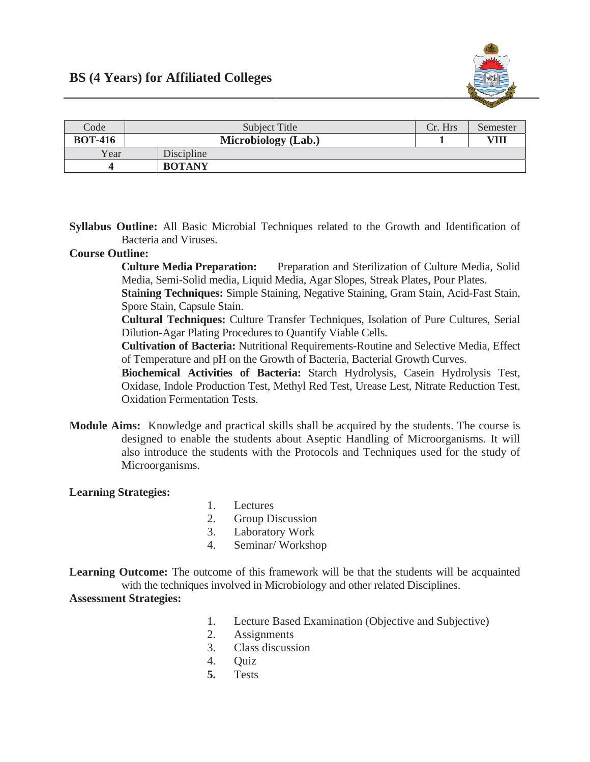

| Code           | Subject Title       | Cr. Hrs | Semester |
|----------------|---------------------|---------|----------|
| <b>BOT-416</b> | Microbiology (Lab.) |         | VII      |
| Year           | Discipline          |         |          |
|                | <b>BOTANY</b>       |         |          |

Syllabus Outline: All Basic Microbial Techniques related to the Growth and Identification of Bacteria and Viruses.

## **Course Outline:**

**Culture Media Preparation:** Preparation and Sterilization of Culture Media, Solid Media, Semi-Solid media, Liquid Media, Agar Slopes, Streak Plates, Pour Plates.

**Staining Techniques:** Simple Staining, Negative Staining, Gram Stain, Acid-Fast Stain, Spore Stain, Capsule Stain.

Cultural Techniques: Culture Transfer Techniques, Isolation of Pure Cultures, Serial Dilution-Agar Plating Procedures to Quantify Viable Cells.

**Cultivation of Bacteria:** Nutritional Requirements-Routine and Selective Media, Effect of Temperature and pH on the Growth of Bacteria, Bacterial Growth Curves.

Biochemical Activities of Bacteria: Starch Hydrolysis, Casein Hydrolysis Test, Oxidase, Indole Production Test, Methyl Red Test, Urease Lest, Nitrate Reduction Test, Oxidation Fermentation Tests

Module Aims: Knowledge and practical skills shall be acquired by the students. The course is designed to enable the students about Aseptic Handling of Microorganisms. It will also introduce the students with the Protocols and Techniques used for the study of Microorganisms.

## **Learning Strategies:**

- $1.$ Lectures
- **Group Discussion** 2.
- $3.$ Laboratory Work
- $4.$ Seminar/Workshop

**Learning Outcome:** The outcome of this framework will be that the students will be acquainted with the techniques involved in Microbiology and other related Disciplines. **Assessment Strategies:** 

- Lecture Based Examination (Objective and Subjective)  $1.$
- $2.$ **Assignments**
- Class discussion  $\mathcal{E}$
- $\overline{4}$ **Ouiz**
- $5.$ **Tests**